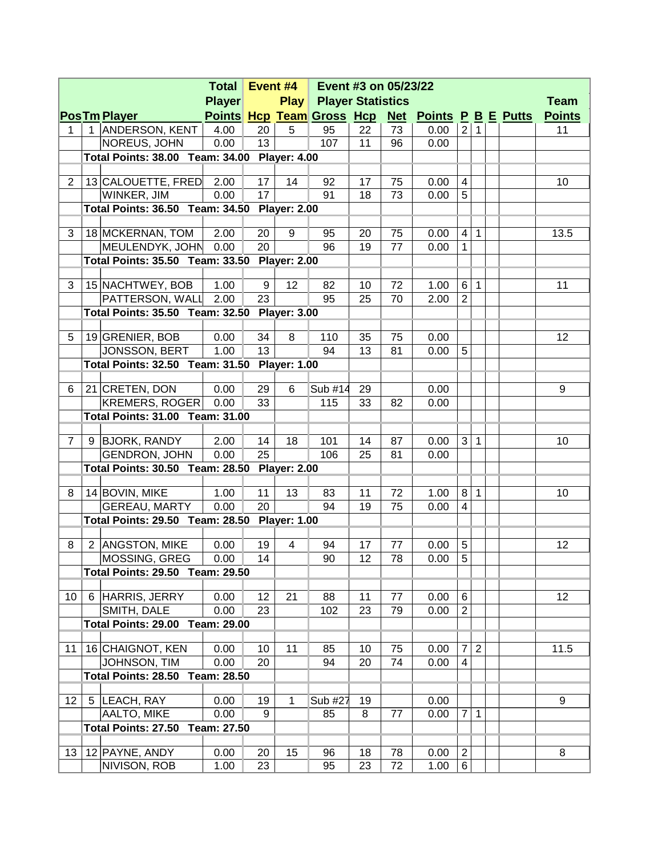|                |              |                                              | <b>Total</b>  |          | Event #4 | Event #3 on 05/23/22      |          |            |                           |                  |                |  |               |
|----------------|--------------|----------------------------------------------|---------------|----------|----------|---------------------------|----------|------------|---------------------------|------------------|----------------|--|---------------|
|                |              |                                              | <b>Player</b> |          | Play     | <b>Player Statistics</b>  |          |            |                           |                  |                |  | <b>Team</b>   |
|                |              | <b>PosTm Player</b>                          |               |          |          | Points Hcp Team Gross Hcp |          | <u>Net</u> | <b>Points P B E Putts</b> |                  |                |  | <b>Points</b> |
| 1              | $\mathbf{1}$ | ANDERSON, KENT                               | 4.00          | 20       | 5        | 95                        | 22       | 73         | 0.00                      | 2 <sup>1</sup>   | $\mathbf{1}$   |  | 11            |
|                |              | NOREUS, JOHN                                 | 0.00          | 13       |          | 107                       | 11       | 96         | 0.00                      |                  |                |  |               |
|                |              | Total Points: 38.00 Team: 34.00 Player: 4.00 |               |          |          |                           |          |            |                           |                  |                |  |               |
|                |              |                                              |               |          |          |                           |          |            |                           |                  |                |  |               |
| $\overline{2}$ |              | 13 CALOUETTE, FRED                           | 2.00          | 17       | 14       | 92                        | 17       | 75         | 0.00                      | 4                |                |  | 10            |
|                |              | WINKER, JIM                                  | 0.00          | 17       |          | 91                        | 18       | 73         | 0.00                      | 5                |                |  |               |
|                |              | Total Points: 36.50 Team: 34.50 Player: 2.00 |               |          |          |                           |          |            |                           |                  |                |  |               |
|                |              |                                              |               |          |          |                           |          |            |                           |                  |                |  |               |
| 3              |              | 18 MCKERNAN, TOM                             | 2.00<br>0.00  | 20<br>20 | 9        | 95<br>96                  | 20<br>19 | 75<br>77   | 0.00<br>0.00              | 4                | $\mathbf{1}$   |  | 13.5          |
|                |              | MEULENDYK, JOHN                              |               |          |          |                           |          |            |                           | $\mathbf{1}$     |                |  |               |
|                |              | Total Points: 35.50 Team: 33.50 Player: 2.00 |               |          |          |                           |          |            |                           |                  |                |  |               |
| 3              |              | 15 NACHTWEY, BOB                             | 1.00          | 9        | 12       | 82                        | 10       | 72         | 1.00                      | $6 \overline{6}$ | $\mathbf{1}$   |  | 11            |
|                |              | PATTERSON, WALL                              | 2.00          | 23       |          | 95                        | 25       | 70         | 2.00                      | $\overline{2}$   |                |  |               |
|                |              | Total Points: 35.50 Team: 32.50 Player: 3.00 |               |          |          |                           |          |            |                           |                  |                |  |               |
|                |              |                                              |               |          |          |                           |          |            |                           |                  |                |  |               |
| 5              |              | 19 GRENIER, BOB                              | 0.00          | 34       | 8        | 110                       | 35       | 75         | 0.00                      |                  |                |  | 12            |
|                |              | JONSSON, BERT                                | 1.00          | 13       |          | 94                        | 13       | 81         | 0.00                      | 5                |                |  |               |
|                |              | Total Points: 32.50 Team: 31.50 Player: 1.00 |               |          |          |                           |          |            |                           |                  |                |  |               |
|                |              |                                              |               |          |          |                           |          |            |                           |                  |                |  |               |
| 6              |              | 21 CRETEN, DON                               | 0.00          | 29       | 6        | Sub #14                   | 29       |            | 0.00                      |                  |                |  | 9             |
|                |              | <b>KREMERS, ROGER</b>                        | 0.00          | 33       |          | 115                       | 33       | 82         | 0.00                      |                  |                |  |               |
|                |              | <b>Total Points: 31.00 Team: 31.00</b>       |               |          |          |                           |          |            |                           |                  |                |  |               |
| $\overline{7}$ |              | 9 BJORK, RANDY                               | 2.00          | 14       | 18       | 101                       | 14       | 87         | 0.00                      | 3 <sup>1</sup>   | $\mathbf{1}$   |  | 10            |
|                |              | <b>GENDRON, JOHN</b>                         | 0.00          | 25       |          | 106                       | 25       | 81         | 0.00                      |                  |                |  |               |
|                |              | Total Points: 30.50 Team: 28.50 Player: 2.00 |               |          |          |                           |          |            |                           |                  |                |  |               |
|                |              |                                              |               |          |          |                           |          |            |                           |                  |                |  |               |
| 8              |              | 14 BOVIN, MIKE                               | 1.00          | 11       | 13       | 83                        | 11       | 72         | 1.00                      | 8 <sup>1</sup>   | $\mathbf{1}$   |  | 10            |
|                |              | <b>GEREAU, MARTY</b>                         | 0.00          | 20       |          | 94                        | 19       | 75         | 0.00                      | 4                |                |  |               |
|                |              | Total Points: 29.50 Team: 28.50 Player: 1.00 |               |          |          |                           |          |            |                           |                  |                |  |               |
|                |              |                                              |               |          |          |                           |          |            |                           |                  |                |  |               |
| 8              |              | 2 ANGSTON, MIKE                              | 0.00          | 19       | 4        | 94                        | 17       | 77         | 0.00                      | 5                |                |  | 12            |
|                |              | MOSSING, GREG                                | 0.00          | 14       |          | 90                        | 12       | 78         | 0.00                      | 5                |                |  |               |
|                |              | <b>Total Points: 29.50 Team: 29.50</b>       |               |          |          |                           |          |            |                           |                  |                |  |               |
|                |              |                                              |               | 12       |          |                           |          |            |                           | 6                |                |  |               |
| 10             | 6            | HARRIS, JERRY<br>SMITH, DALE                 | 0.00<br>0.00  | 23       | 21       | 88<br>102                 | 11<br>23 | 77<br>79   | 0.00<br>0.00              | $\overline{2}$   |                |  | 12            |
|                |              | <b>Total Points: 29.00 Team: 29.00</b>       |               |          |          |                           |          |            |                           |                  |                |  |               |
|                |              |                                              |               |          |          |                           |          |            |                           |                  |                |  |               |
| 11             |              | 16 CHAIGNOT, KEN                             | 0.00          | 10       | 11       | 85                        | 10       | 75         | 0.00                      | $\overline{7}$   | $\overline{2}$ |  | 11.5          |
|                |              | JOHNSON, TIM                                 | 0.00          | 20       |          | 94                        | 20       | 74         | 0.00                      | 4                |                |  |               |
|                |              | <b>Total Points: 28.50 Team: 28.50</b>       |               |          |          |                           |          |            |                           |                  |                |  |               |
|                |              |                                              |               |          |          |                           |          |            |                           |                  |                |  |               |
| 12             | 5            | LEACH, RAY                                   | 0.00          | 19       | 1        | Sub #27                   | 19       |            | 0.00                      |                  |                |  | 9             |
|                |              | AALTO, MIKE                                  | 0.00          | 9        |          | 85                        | 8        | 77         | 0.00                      | 7                | $\mathbf{1}$   |  |               |
|                |              | Total Points: 27.50                          | Team: 27.50   |          |          |                           |          |            |                           |                  |                |  |               |
|                |              |                                              |               |          |          |                           |          |            |                           |                  |                |  |               |
| 13             |              | 12 PAYNE, ANDY                               | 0.00          | 20       | 15       | 96                        | 18       | 78         | 0.00                      | $\overline{2}$   |                |  | 8             |
|                |              | NIVISON, ROB                                 | 1.00          | 23       |          | 95                        | 23       | 72         | 1.00                      | 6                |                |  |               |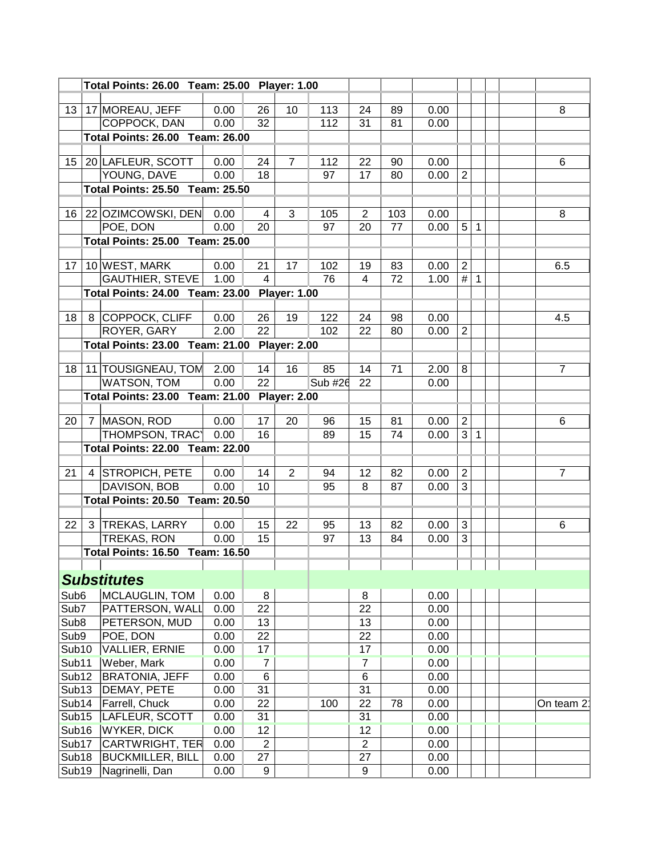|                   |                | Total Points: 26.00 Team: 25.00 Player: 1.00 |      |                      |                |           |                |          |              |                |              |                |
|-------------------|----------------|----------------------------------------------|------|----------------------|----------------|-----------|----------------|----------|--------------|----------------|--------------|----------------|
| 13                |                | 17 MOREAU, JEFF                              | 0.00 | 26                   | 10             | 113       | 24             | 89       | 0.00         |                |              | 8              |
|                   |                | COPPOCK, DAN                                 | 0.00 | 32                   |                | 112       | 31             | 81       | 0.00         |                |              |                |
|                   |                | <b>Total Points: 26.00 Team: 26.00</b>       |      |                      |                |           |                |          |              |                |              |                |
|                   |                |                                              |      |                      |                |           |                |          |              |                |              |                |
| 15                |                | 20 LAFLEUR, SCOTT                            | 0.00 | 24                   | $\overline{7}$ | 112       | 22             | 90       | 0.00         |                |              | 6              |
|                   |                | YOUNG, DAVE                                  | 0.00 | 18                   |                | 97        | 17             | 80       | 0.00         | $\overline{2}$ |              |                |
|                   |                | Total Points: 25.50 Team: 25.50              |      |                      |                |           |                |          |              |                |              |                |
|                   |                |                                              |      |                      |                |           |                |          |              |                |              |                |
| 16                |                | 22 OZIMCOWSKI, DEN                           | 0.00 | 4                    | 3              | 105       | $\overline{2}$ | 103      | 0.00         |                |              | 8              |
|                   |                | POE, DON                                     | 0.00 | 20                   |                | 97        | 20             | 77       | 0.00         | 5 <sup>1</sup> | $\mathbf{1}$ |                |
|                   |                | <b>Total Points: 25.00 Team: 25.00</b>       |      |                      |                |           |                |          |              |                |              |                |
|                   |                |                                              | 0.00 |                      |                |           |                |          |              | $\overline{2}$ |              |                |
| 17                |                | 10 WEST, MARK<br><b>GAUTHIER, STEVE</b>      | 1.00 | 21<br>$\overline{4}$ | 17             | 102<br>76 | 19<br>4        | 83<br>72 | 0.00<br>1.00 | #              | $\mathbf{1}$ | 6.5            |
|                   |                | Total Points: 24.00 Team: 23.00 Player: 1.00 |      |                      |                |           |                |          |              |                |              |                |
|                   |                |                                              |      |                      |                |           |                |          |              |                |              |                |
| 18                |                | 8 COPPOCK, CLIFF                             | 0.00 | 26                   | 19             | 122       | 24             | 98       | 0.00         |                |              | 4.5            |
|                   |                | ROYER, GARY                                  | 2.00 | 22                   |                | 102       | 22             | 80       | 0.00         | $\overline{2}$ |              |                |
|                   |                | Total Points: 23.00 Team: 21.00 Player: 2.00 |      |                      |                |           |                |          |              |                |              |                |
|                   |                |                                              |      |                      |                |           |                |          |              |                |              |                |
| 18                |                | 11 TOUSIGNEAU, TOM                           | 2.00 | 14                   | 16             | 85        | 14             | 71       | 2.00         | 8              |              | $\overline{7}$ |
|                   |                | WATSON, TOM                                  | 0.00 | 22                   |                | $Sub$ #26 | 22             |          | 0.00         |                |              |                |
|                   |                | Total Points: 23.00 Team: 21.00 Player: 2.00 |      |                      |                |           |                |          |              |                |              |                |
|                   |                |                                              |      |                      |                |           |                |          |              |                |              |                |
| 20                | $\overline{7}$ | MASON, ROD                                   | 0.00 | 17                   | 20             | 96        | 15             | 81       | 0.00         | $\overline{2}$ |              | 6              |
|                   |                | THOMPSON, TRACY                              | 0.00 | 16                   |                | 89        | 15             | 74       | 0.00         | 3 <sup>1</sup> | $\mathbf{1}$ |                |
|                   |                | <b>Total Points: 22.00 Team: 22.00</b>       |      |                      |                |           |                |          |              |                |              |                |
|                   |                |                                              |      |                      |                |           |                |          |              |                |              |                |
| 21                |                | 4 STROPICH, PETE                             | 0.00 | 14                   | $\overline{2}$ | 94        | 12             | 82       | 0.00         | $\overline{2}$ |              | $\overline{7}$ |
|                   |                | DAVISON, BOB                                 | 0.00 | 10                   |                | 95        | 8              | 87       | 0.00         | 3              |              |                |
|                   |                | <b>Total Points: 20.50 Team: 20.50</b>       |      |                      |                |           |                |          |              |                |              |                |
| 22                |                | 3 TREKAS, LARRY                              | 0.00 | 15                   | 22             | 95        | 13             | 82       | 0.00         | 3              |              | 6              |
|                   |                | TREKAS, RON                                  | 0.00 | 15                   |                | 97        | 13             | 84       | 0.00         | 3              |              |                |
|                   |                | Total Points: 16.50 Team: 16.50              |      |                      |                |           |                |          |              |                |              |                |
|                   |                |                                              |      |                      |                |           |                |          |              |                |              |                |
|                   |                | <b>Substitutes</b>                           |      |                      |                |           |                |          |              |                |              |                |
| Sub <sub>6</sub>  |                | MCLAUGLIN, TOM                               | 0.00 | 8                    |                |           | 8              |          | 0.00         |                |              |                |
| Sub7              |                | PATTERSON, WALL                              | 0.00 | 22                   |                |           | 22             |          | 0.00         |                |              |                |
| Sub <sub>8</sub>  |                | PETERSON, MUD                                | 0.00 | 13                   |                |           | 13             |          | 0.00         |                |              |                |
| Sub9              |                | POE, DON                                     | 0.00 | 22                   |                |           | 22             |          | 0.00         |                |              |                |
| Sub10             |                | <b>VALLIER, ERNIE</b>                        | 0.00 | 17                   |                |           | 17             |          | 0.00         |                |              |                |
| Sub11             |                | Weber, Mark                                  | 0.00 | 7                    |                |           | $\overline{7}$ |          | 0.00         |                |              |                |
| Sub <sub>12</sub> |                | <b>BRATONIA, JEFF</b>                        | 0.00 | $\,6$                |                |           | 6              |          | 0.00         |                |              |                |
| Sub <sub>13</sub> |                | DEMAY, PETE                                  | 0.00 | 31                   |                |           | 31             |          | 0.00         |                |              |                |
| Sub <sub>14</sub> |                | Farrell, Chuck                               | 0.00 | 22                   |                | 100       | 22             | 78       | 0.00         |                |              | On team 2      |
| Sub <sub>15</sub> |                | LAFLEUR, SCOTT                               | 0.00 | 31                   |                |           | 31             |          | 0.00         |                |              |                |
| Sub <sub>16</sub> |                | <b>WYKER, DICK</b>                           | 0.00 | 12                   |                |           | 12             |          | 0.00         |                |              |                |
| Sub17             |                | <b>CARTWRIGHT, TER</b>                       | 0.00 | $\overline{2}$       |                |           | $\overline{2}$ |          | 0.00         |                |              |                |
|                   |                |                                              |      |                      |                |           |                |          | 0.00         |                |              |                |
| Sub <sub>18</sub> |                | <b>BUCKMILLER, BILL</b>                      | 0.00 | 27                   |                |           | 27             |          |              |                |              |                |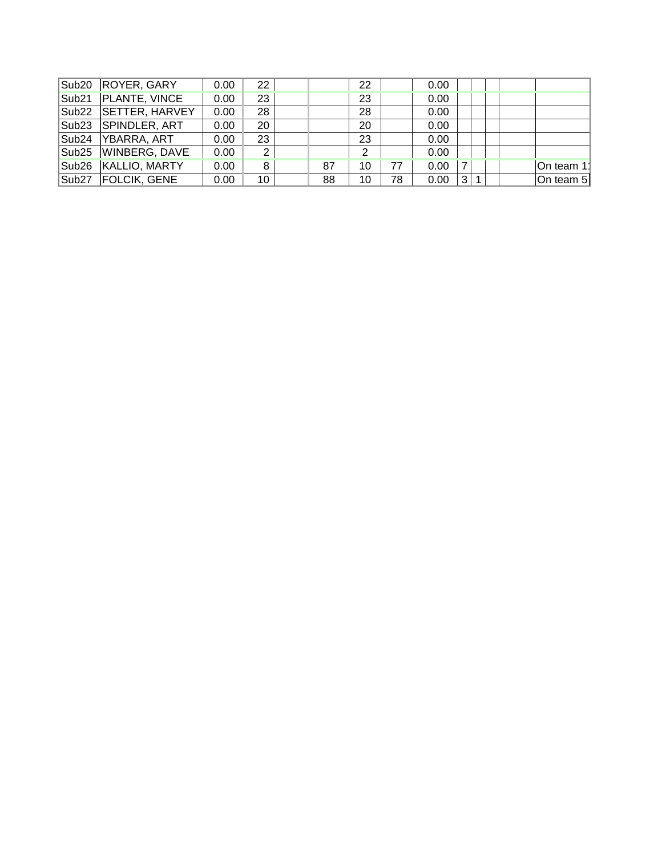| Sub <sub>20</sub> | ROYER, GARY          | 0.00 | 22 |    | 22 |    | 0.00 |   |  |             |
|-------------------|----------------------|------|----|----|----|----|------|---|--|-------------|
| Sub <sub>21</sub> | <b>PLANTE, VINCE</b> | 0.00 | 23 |    | 23 |    | 0.00 |   |  |             |
|                   | Sub22 SETTER, HARVEY | 0.00 | 28 |    | 28 |    | 0.00 |   |  |             |
| Sub <sub>23</sub> | SPINDLER, ART        | 0.00 | 20 |    | 20 |    | 0.00 |   |  |             |
| Sub <sub>24</sub> | YBARRA, ART          | 0.00 | 23 |    | 23 |    | 0.00 |   |  |             |
| Sub <sub>25</sub> | WINBERG, DAVE        | 0.00 | 2  |    | 2  |    | 0.00 |   |  |             |
| Sub <sub>26</sub> | KALLIO, MARTY        | 0.00 | 8  | 87 | 10 | 77 | 0.00 |   |  | On team 11  |
| Sub <sub>27</sub> | <b>FOLCIK, GENE</b>  | 0.00 | 10 | 88 | 10 | 78 | 0.00 | 3 |  | On team $5$ |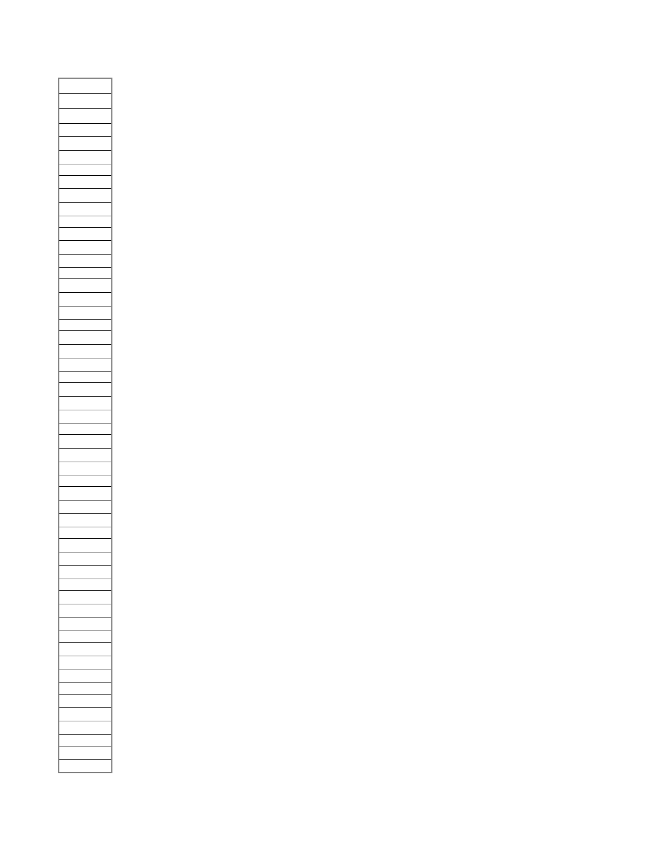